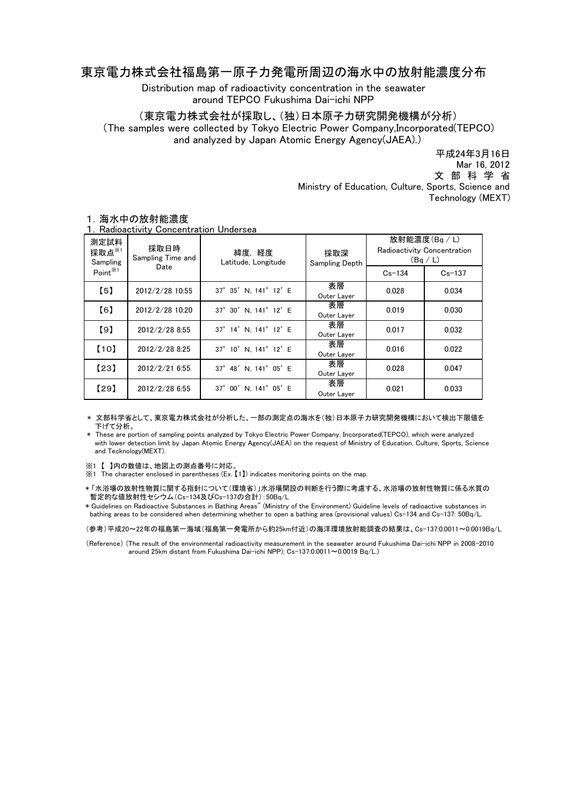## 東京電力株式会社福島第一原子力発電所周辺の海水中の放射能濃度分布

Distribution map of radioactivity concentration in the seawater around TEPCO Fukushima Dai-ichi NPP

(東京電力株式会社が採取し、(独)日本原子力研究開発機構が分析)

(The samples were collected by Tokyo Electric Power Company,Incorporated(TEPCO) and analyzed by Japan Atomic Energy Agency(JAEA).)

> Ministry of Education, Culture, Sports, Science and Technology (MEXT) 平成24年3月16日 文 部 科 学 省 Mar 16, 2012

| 測定試料<br>採取点 $*$<br>Sampling | i . I vadioactivity Concentration Ondersea<br>採取日時<br>Sampling Time and | 緯度.経度<br>Latitude, Longitude | 採取深<br>Sampling Depth | 放射能濃度(Bq / L)<br>Radioactivity Concentration<br>(Bq/L) |            |
|-----------------------------|-------------------------------------------------------------------------|------------------------------|-----------------------|--------------------------------------------------------|------------|
| Point <sup>※1</sup>         | Date                                                                    |                              |                       | $Cs - 134$                                             | $Cs - 137$ |
| $\left[5\right]$            | 2012/2/28 10:55                                                         | 37° 35' N. 141° 12' E        | 表層<br>Outer Layer     | 0.028                                                  | 0.034      |
| [6]                         | 2012/2/28 10:20                                                         | 37° 30' N. 141° 12' E        | 表層<br>Outer Layer     | 0.019                                                  | 0.030      |
| [9]                         | 2012/2/28 8:55                                                          | 37° 14' N. 141° 12' E        | 表層<br>Outer Layer     | 0.017                                                  | 0.032      |
| $[10]$                      | 2012/2/28 8:25                                                          | 37° 10' N. 141° 12' E        | 表層<br>Outer Layer     | 0.016                                                  | 0.022      |
| [23]                        | 2012/2/216:55                                                           | 37° 48' N. 141° 05' E        | 表層<br>Outer Layer     | 0.028                                                  | 0.047      |
| [29]                        | 2012/2/28 6:55                                                          | 37° 00' N. 141° 05' E        | 表層<br>Outer Layer     | 0.021                                                  | 0.033      |

## 1.海水中の放射能濃度 1.Radioactivity Concentration Undersea

 \* 文部科学省として、東京電力株式会社が分析した、一部の測定点の海水を(独)日本原子力研究開発機構において検出下限値を 下げて分析。

 \* These are portion of sampling points analyzed by Tokyo Electric Power Company, Incorporated(TEPCO), which were analyzed with lower detection limit by Japan Atomic Energy Agency(JAEA) on the request of Ministry of Education, Culture, Sports, Science and Tecknology(MEXT).

※1 【 】内の数値は、地図上の測点番号に対応。

※1 The character enclosed in parentheses (Ex. 【1】) indicates monitoring points on the map.

\* 「水浴場の放射性物質に関する指針について(環境省)」水浴場開設の判断を行う際に考慮する、水浴場の放射性物質に係る水質の 暫定的な値放射性セシウム(Cs-134及びCs-137の合計):50Bq/L

\* Guidelines on Radioactive Substances in Bathing Areas" (Ministry of the Environment) Guideline levels of radioactive substances in bathing areas to be considered when determining whether to open a bathing area (provisional values) Cs-134 and Cs-137: 50Bq/L.

(参考)平成20~22年の福島第一海域(福島第一発電所から約25km付近)の海洋環境放射能調査の結果は、Cs-137:0.0011~0.0019Bq/L

(Reference) (The result of the environmental radioactivity measurement in the seawater around Fukushima Dai-ichi NPP in 2008-2010 .<br>around 25km distant from Fukushima Dai−ichi NPP); Cs−137:0.0011∼0.0019 Bq/L.)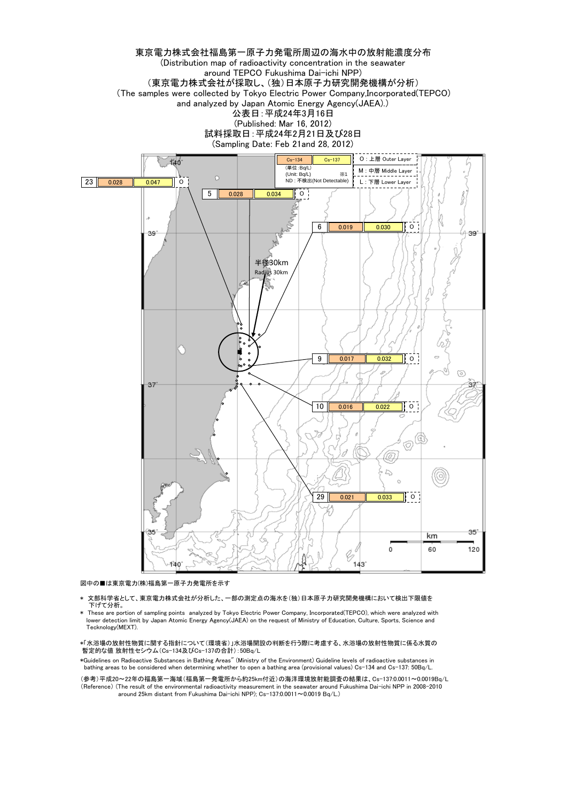

図中の■は東京電力(株)福島第一原子力発電所を示す

- 文部科学省として、東京電力株式会社が分析した、一部の測定点の海水を(独)日本原子力研究開発機構において検出下限値を 下げて分析。
- \* These are portion of sampling points analyzed by Tokyo Electric Power Company, Incorporated(TEPCO), which were analyzed with lower detection limit by Japan Atomic Energy Agency(JAEA) on the request of Ministry of Education, Culture, Sports, Science and Tecknology(MEXT).

\*「水浴場の放射性物質に関する指針について(環境省)」水浴場開設の判断を行う際に考慮する、水浴場の放射性物質に係る水質の 暫定的な値 放射性セシウム(Cs-134及びCs-137の合計):50Bq/L

\*Guidelines on Radioactive Substances in Bathing Areas" (Ministry of the Environment) Guideline levels of radioactive substances in bathing areas to be considered when determining whether to open a bathing area (provisional values) Cs-134 and Cs-137: 50Bq/L.

(参考)平成20~22年の福島第一海域(福島第一発電所から約25km付近)の海洋環境放射能調査の結果は、Cs-137:0.0011~0.0019Bq/L (Reference) (The result of the environmental radioactivity measurement in the seawater around Fukushima Dai-ichi NPP in 2008-2010 around 25km distant from Fukushima Dai-ichi NPP); Cs-137:0.0011~0.0019 Bq/L.)